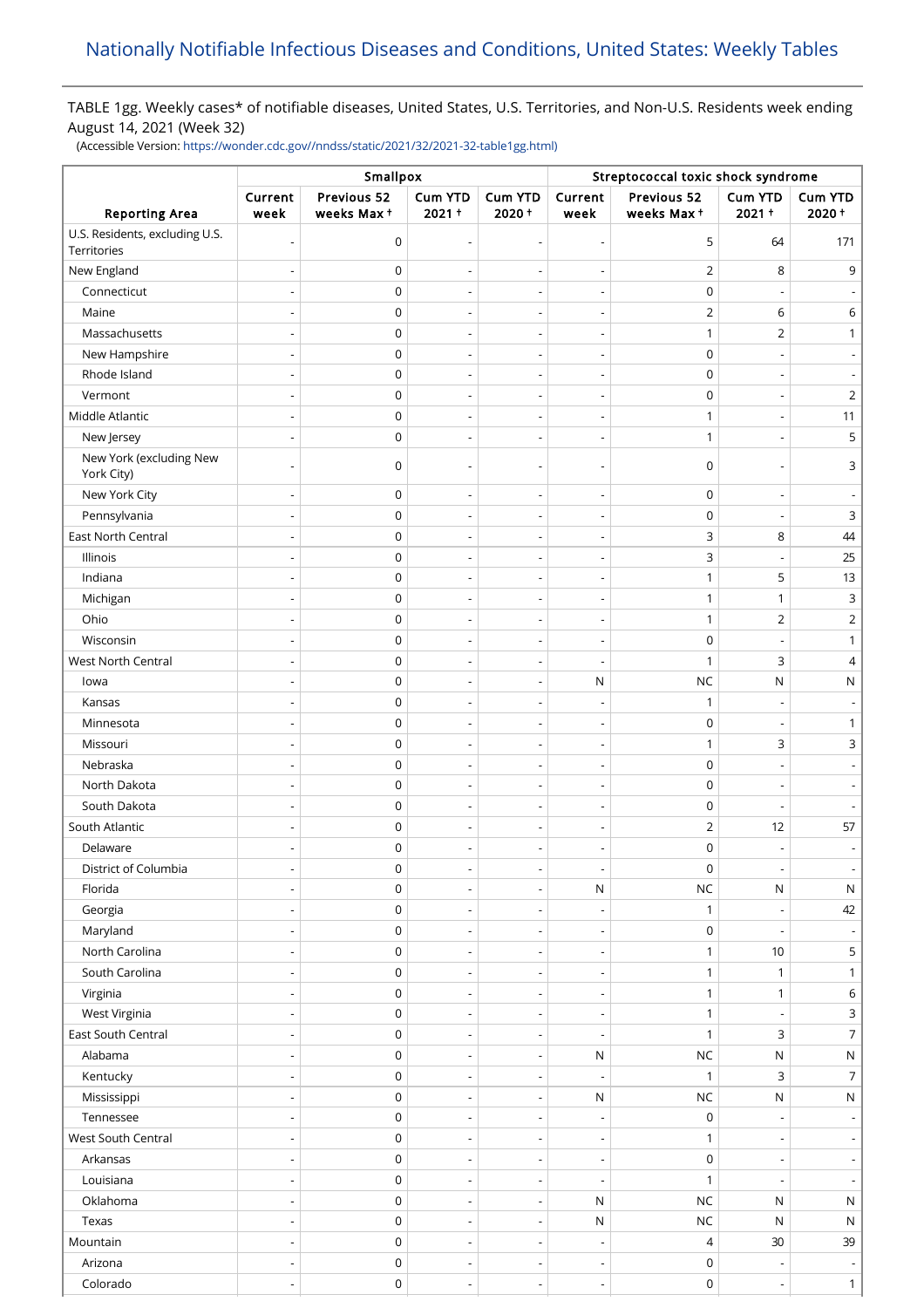# TABLE 1gg. Weekly cases\* of notifiable diseases, United States, U.S. Territories, and Non-U.S. Residents week ending August 14, 2021 (Week 32)

(Accessible Version: [https://wonder.cdc.gov//nndss/static/2021/32/2021-32-table1gg.html\)](https://wonder.cdc.gov//nndss/static/2021/32/2021-32-table1gg.html)

|                                               | Smallpox                 |                           |                            |                              | Streptococcal toxic shock syndrome |                           |                          |                          |
|-----------------------------------------------|--------------------------|---------------------------|----------------------------|------------------------------|------------------------------------|---------------------------|--------------------------|--------------------------|
| <b>Reporting Area</b>                         | Current<br>week          | Previous 52<br>weeks Max+ | <b>Cum YTD</b><br>$2021 +$ | <b>Cum YTD</b><br>$2020 +$   | Current<br>week                    | Previous 52<br>weeks Max+ | Cum YTD<br>$2021 +$      | Cum YTD<br>2020+         |
| U.S. Residents, excluding U.S.<br>Territories |                          | $\mathsf 0$               | ÷                          | $\overline{a}$               | $\overline{\phantom{0}}$           | 5                         | 64                       | 171                      |
| New England                                   |                          | 0                         |                            | $\overline{\phantom{a}}$     | $\qquad \qquad \blacksquare$       | $\overline{2}$            | 8                        | 9                        |
| Connecticut                                   |                          | $\mathsf 0$               |                            |                              | Ĭ.                                 | $\mathbf 0$               |                          |                          |
| Maine                                         | $\overline{\phantom{a}}$ | 0                         | $\overline{\phantom{0}}$   | $\overline{\phantom{a}}$     | $\overline{\phantom{0}}$           | $\overline{2}$            | 6                        | 6                        |
| Massachusetts                                 |                          | 0                         | $\overline{a}$             | $\overline{\phantom{a}}$     | $\overline{a}$                     | $\mathbf{1}$              | $\overline{2}$           | 1                        |
| New Hampshire                                 |                          | $\mathsf 0$               | $\overline{\phantom{a}}$   | $\overline{\phantom{0}}$     | $\overline{a}$                     | $\mathbf 0$               |                          |                          |
| Rhode Island                                  | $\overline{\phantom{a}}$ | $\mathsf 0$               | $\overline{\phantom{a}}$   | $\overline{a}$               | $\overline{\phantom{a}}$           | $\mathbf 0$               |                          |                          |
| Vermont                                       |                          | $\mathsf 0$               | ÷,                         | $\overline{a}$               | $\overline{a}$                     | $\mathbf 0$               |                          | 2                        |
| Middle Atlantic                               | $\overline{\phantom{a}}$ | $\mathsf 0$               | $\overline{\phantom{a}}$   | $\overline{a}$               | $\overline{\phantom{a}}$           | $\mathbf{1}$              |                          | 11                       |
| New Jersey                                    |                          | $\mathsf 0$               |                            |                              |                                    | $\mathbf{1}$              |                          | 5                        |
| New York (excluding New                       |                          |                           |                            |                              |                                    |                           |                          |                          |
| York City)                                    |                          | 0                         | $\overline{\phantom{a}}$   |                              | $\overline{\phantom{0}}$           | $\mathbf 0$               |                          | 3                        |
| New York City                                 |                          | 0                         | $\overline{\phantom{a}}$   | $\overline{a}$               | $\qquad \qquad \blacksquare$       | $\mathbf 0$               |                          |                          |
| Pennsylvania                                  |                          | $\mathsf 0$               |                            | $\overline{a}$               | $\overline{a}$                     | $\mathbf 0$               |                          | 3                        |
| East North Central                            |                          | 0                         | $\overline{a}$             | $\overline{\phantom{a}}$     | $\qquad \qquad \blacksquare$       | 3                         | 8                        | 44                       |
| Illinois                                      |                          | 0                         | $\overline{a}$             | $\overline{a}$               | $\overline{\phantom{0}}$           | 3                         |                          | 25                       |
| Indiana                                       |                          | 0                         | $\overline{\phantom{a}}$   | $\overline{\phantom{0}}$     | $\qquad \qquad \blacksquare$       | $\mathbf{1}$              | 5                        | 13                       |
| Michigan                                      |                          | $\mathsf 0$               | $\overline{\phantom{a}}$   | $\overline{\phantom{a}}$     | $\overline{\phantom{0}}$           | $\mathbf{1}$              | $\mathbf{1}$             | 3                        |
| Ohio                                          |                          | $\mathsf 0$               | ÷,                         | $\overline{a}$               | $\overline{a}$                     | $\mathbf{1}$              | $\overline{2}$           | 2                        |
| Wisconsin                                     |                          | $\mathsf 0$               | $\overline{\phantom{a}}$   | $\overline{a}$               | $\overline{\phantom{a}}$           | $\mathbf 0$               |                          | 1                        |
| West North Central                            |                          | 0                         |                            |                              |                                    | $\mathbf{1}$              | 3                        | 4                        |
| lowa                                          |                          | $\mathsf 0$               | $\overline{\phantom{a}}$   | $\overline{\phantom{a}}$     | $\mathsf N$                        | <b>NC</b>                 | ${\sf N}$                | Ν                        |
| Kansas                                        |                          | $\mathsf 0$               |                            |                              |                                    | $\mathbf{1}$              |                          |                          |
| Minnesota                                     |                          | $\mathsf 0$               | $\overline{\phantom{a}}$   | $\overline{\phantom{a}}$     | $\overline{\phantom{a}}$           | $\mathbf 0$               |                          | 1                        |
| Missouri                                      |                          | 0                         |                            | $\overline{a}$               |                                    | $\mathbf{1}$              | 3                        | 3                        |
| Nebraska                                      |                          | 0                         | $\overline{\phantom{a}}$   | $\overline{\phantom{a}}$     | $\overline{\phantom{0}}$           | $\mathbf 0$               |                          |                          |
| North Dakota                                  |                          | 0                         |                            |                              | $\overline{a}$                     | $\mathbf 0$               |                          |                          |
| South Dakota                                  |                          | 0                         | $\overline{\phantom{0}}$   | $\qquad \qquad \blacksquare$ | $\qquad \qquad \blacksquare$       | $\mathbf 0$               | $\overline{\phantom{a}}$ |                          |
| South Atlantic                                |                          | 0                         | $\overline{\phantom{a}}$   | $\overline{\phantom{0}}$     | $\overline{\phantom{0}}$           | $\overline{2}$            | 12                       | 57                       |
| Delaware                                      |                          | $\mathsf 0$               |                            |                              |                                    | $\mathbf 0$               |                          |                          |
| District of Columbia                          |                          | $\mathsf 0$               |                            |                              | $\overline{\phantom{a}}$           | $\mathbf 0$               |                          |                          |
| Florida                                       |                          | $\mathsf 0$               | $\overline{\phantom{a}}$   | $\overline{a}$               | ${\sf N}$                          | <b>NC</b>                 | ${\sf N}$                | ${\sf N}$                |
| Georgia                                       | $\overline{\phantom{a}}$ | $\mathsf 0$               | $\overline{\phantom{a}}$   | $\overline{\phantom{a}}$     | $\qquad \qquad \blacksquare$       | $\mathbf{1}$              |                          | 42                       |
| Maryland                                      |                          | $\mathsf 0$               |                            |                              |                                    | $\mathbf 0$               |                          |                          |
| North Carolina                                |                          | $\mathsf 0$               | $\overline{\phantom{a}}$   | $\overline{\phantom{a}}$     | $\overline{\phantom{a}}$           | $\mathbf{1}$              | 10                       | 5                        |
| South Carolina                                |                          | $\mathsf 0$               | $\overline{a}$             | $\overline{a}$               | $\overline{a}$                     | $\mathbf{1}$              | $\mathbf{1}$             | 1                        |
| Virginia                                      | $\overline{\phantom{0}}$ | $\mathsf 0$               | $\overline{\phantom{a}}$   | $\overline{\phantom{a}}$     | $\overline{\phantom{a}}$           | $\mathbf{1}$              | $\mathbf{1}$             | 6                        |
| West Virginia                                 |                          | 0                         | $\overline{a}$             | $\overline{a}$               | $\overline{a}$                     | $\mathbf{1}$              |                          | 3                        |
| East South Central                            | $\overline{\phantom{a}}$ | $\mathsf 0$               | $\overline{\phantom{a}}$   | $\overline{\phantom{a}}$     | $\overline{\phantom{a}}$           | $\mathbf{1}$              | 3                        | 7                        |
| Alabama                                       | $\overline{\phantom{a}}$ | $\mathsf 0$               | $\overline{\phantom{a}}$   | $\overline{\phantom{a}}$     | ${\sf N}$                          | <b>NC</b>                 | ${\sf N}$                | ${\sf N}$                |
| Kentucky                                      | $\overline{\phantom{a}}$ | $\mathsf 0$               | $\overline{\phantom{a}}$   | $\overline{\phantom{a}}$     | $\overline{\phantom{a}}$           | $\mathbf{1}$              | 3                        | 7                        |
| Mississippi                                   | $\overline{\phantom{a}}$ | $\mathsf 0$               | $\overline{\phantom{a}}$   | $\overline{\phantom{a}}$     | ${\sf N}$                          | <b>NC</b>                 | ${\sf N}$                | ${\sf N}$                |
| Tennessee                                     |                          | $\mathsf 0$               | $\overline{\phantom{a}}$   | $\overline{a}$               | $\overline{\phantom{a}}$           | $\mathbf 0$               |                          |                          |
| West South Central                            | $\overline{\phantom{a}}$ | $\mathsf 0$               | $\overline{\phantom{a}}$   | $\overline{\phantom{a}}$     | $\overline{\phantom{a}}$           | $\mathbf{1}$              |                          |                          |
| Arkansas                                      |                          | $\mathsf 0$               |                            | $\overline{a}$               | $\overline{\phantom{a}}$           | $\pmb{0}$                 |                          |                          |
| Louisiana                                     | $\overline{\phantom{a}}$ | $\mathsf 0$               | $\overline{\phantom{a}}$   | $\overline{\phantom{a}}$     | $\overline{\phantom{a}}$           | 1                         | $\overline{\phantom{a}}$ |                          |
| Oklahoma                                      |                          | 0                         | $\overline{a}$             | $\overline{a}$               | $\mathsf{N}$                       | <b>NC</b>                 | ${\sf N}$                | ${\sf N}$                |
| Texas                                         |                          | $\mathsf 0$               | $\overline{\phantom{a}}$   | $\overline{\phantom{a}}$     | ${\sf N}$                          | <b>NC</b>                 | ${\sf N}$                | $\mathsf{N}$             |
| Mountain                                      |                          | $\mathsf 0$               | $\overline{a}$             | $\overline{a}$               | $\overline{a}$                     | 4                         | $30\,$                   | 39                       |
| Arizona                                       | $\overline{\phantom{a}}$ | $\mathsf 0$               | $\overline{\phantom{a}}$   | $\overline{\phantom{a}}$     | $\overline{\phantom{a}}$           | $\mathbf 0$               | $\overline{\phantom{a}}$ | $\overline{\phantom{a}}$ |
| Colorado                                      | $\overline{\phantom{a}}$ | $\pmb{0}$                 | $\overline{\phantom{a}}$   | $\overline{\phantom{a}}$     | $\overline{\phantom{a}}$           | $\pmb{0}$                 | $\overline{\phantom{a}}$ | $\mathbf{1}$             |
|                                               |                          |                           |                            |                              |                                    |                           |                          |                          |